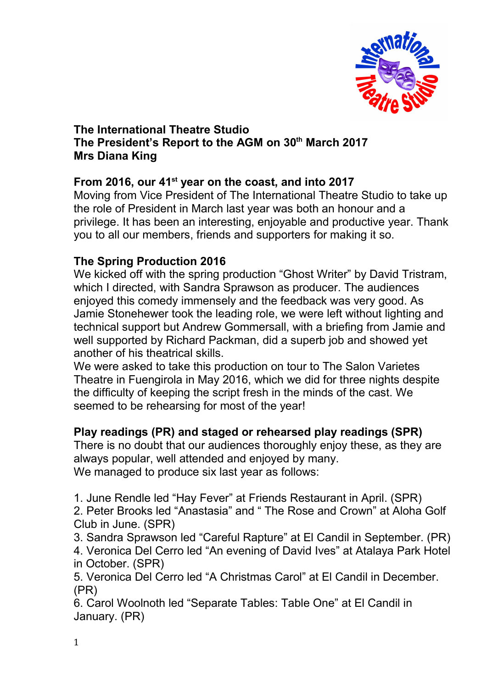

#### **The International Theatre Studio The President's Report to the AGM on 30th March 2017 Mrs Diana King**

## **From 2016, our 41st year on the coast, and into 2017**

Moving from Vice President of The International Theatre Studio to take up the role of President in March last year was both an honour and a privilege. It has been an interesting, enjoyable and productive year. Thank you to all our members, friends and supporters for making it so.

### **The Spring Production 2016**

We kicked off with the spring production "Ghost Writer" by David Tristram, which I directed, with Sandra Sprawson as producer. The audiences enjoyed this comedy immensely and the feedback was very good. As Jamie Stonehewer took the leading role, we were left without lighting and technical support but Andrew Gommersall, with a briefing from Jamie and well supported by Richard Packman, did a superb job and showed yet another of his theatrical skills.

We were asked to take this production on tour to The Salon Varietes Theatre in Fuengirola in May 2016, which we did for three nights despite the difficulty of keeping the script fresh in the minds of the cast. We seemed to be rehearsing for most of the year!

### **Play readings (PR) and staged or rehearsed play readings (SPR)**

There is no doubt that our audiences thoroughly enjoy these, as they are always popular, well attended and enjoyed by many. We managed to produce six last year as follows:

1. June Rendle led "Hay Fever" at Friends Restaurant in April. (SPR)

2. Peter Brooks led "Anastasia" and " The Rose and Crown" at Aloha Golf Club in June. (SPR)

3. Sandra Sprawson led "Careful Rapture" at El Candil in September. (PR)

4. Veronica Del Cerro led "An evening of David Ives" at Atalaya Park Hotel in October. (SPR)

5. Veronica Del Cerro led "A Christmas Carol" at El Candil in December. (PR)

6. Carol Woolnoth led "Separate Tables: Table One" at El Candil in January. (PR)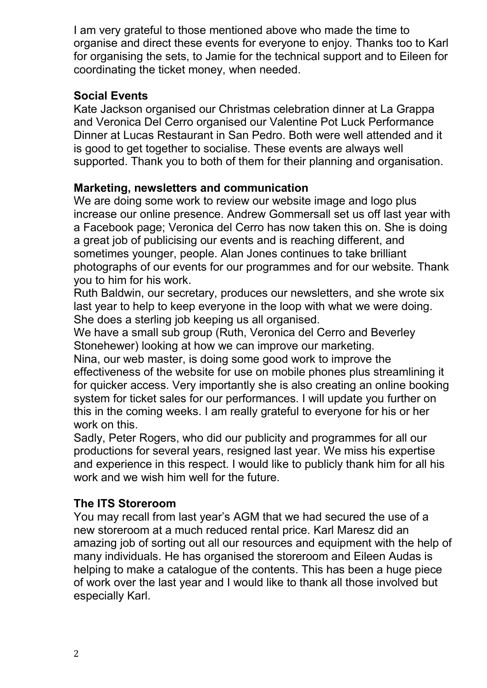I am very grateful to those mentioned above who made the time to organise and direct these events for everyone to enjoy. Thanks too to Karl for organising the sets, to Jamie for the technical support and to Eileen for coordinating the ticket money, when needed.

### **Social Events**

Kate Jackson organised our Christmas celebration dinner at La Grappa and Veronica Del Cerro organised our Valentine Pot Luck Performance Dinner at Lucas Restaurant in San Pedro. Both were well attended and it is good to get together to socialise. These events are always well supported. Thank you to both of them for their planning and organisation.

## **Marketing, newsletters and communication**

We are doing some work to review our website image and logo plus increase our online presence. Andrew Gommersall set us off last year with a Facebook page; Veronica del Cerro has now taken this on. She is doing a great job of publicising our events and is reaching different, and sometimes younger, people. Alan Jones continues to take brilliant photographs of our events for our programmes and for our website. Thank you to him for his work.

Ruth Baldwin, our secretary, produces our newsletters, and she wrote six last year to help to keep everyone in the loop with what we were doing. She does a sterling job keeping us all organised.

We have a small sub group (Ruth, Veronica del Cerro and Beverley Stonehewer) looking at how we can improve our marketing.

Nina, our web master, is doing some good work to improve the effectiveness of the website for use on mobile phones plus streamlining it for quicker access. Very importantly she is also creating an online booking system for ticket sales for our performances. I will update you further on this in the coming weeks. I am really grateful to everyone for his or her work on this.

Sadly, Peter Rogers, who did our publicity and programmes for all our productions for several years, resigned last year. We miss his expertise and experience in this respect. I would like to publicly thank him for all his work and we wish him well for the future.

# **The ITS Storeroom**

You may recall from last year's AGM that we had secured the use of a new storeroom at a much reduced rental price. Karl Maresz did an amazing job of sorting out all our resources and equipment with the help of many individuals. He has organised the storeroom and Eileen Audas is helping to make a catalogue of the contents. This has been a huge piece of work over the last year and I would like to thank all those involved but especially Karl.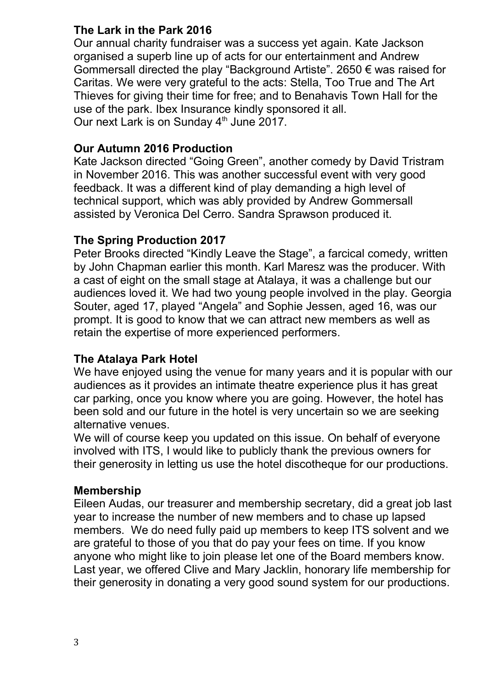# **The Lark in the Park 2016**

Our annual charity fundraiser was a success yet again. Kate Jackson organised a superb line up of acts for our entertainment and Andrew Gommersall directed the play "Background Artiste". 2650 € was raised for Caritas. We were very grateful to the acts: Stella, Too True and The Art Thieves for giving their time for free; and to Benahavis Town Hall for the use of the park. Ibex Insurance kindly sponsored it all. Our next Lark is on Sunday 4<sup>th</sup> June 2017.

#### **Our Autumn 2016 Production**

Kate Jackson directed "Going Green", another comedy by David Tristram in November 2016. This was another successful event with very good feedback. It was a different kind of play demanding a high level of technical support, which was ably provided by Andrew Gommersall assisted by Veronica Del Cerro. Sandra Sprawson produced it.

### **The Spring Production 2017**

Peter Brooks directed "Kindly Leave the Stage", a farcical comedy, written by John Chapman earlier this month. Karl Maresz was the producer. With a cast of eight on the small stage at Atalaya, it was a challenge but our audiences loved it. We had two young people involved in the play. Georgia Souter, aged 17, played "Angela" and Sophie Jessen, aged 16, was our prompt. It is good to know that we can attract new members as well as retain the expertise of more experienced performers.

### **The Atalaya Park Hotel**

We have enjoyed using the venue for many years and it is popular with our audiences as it provides an intimate theatre experience plus it has great car parking, once you know where you are going. However, the hotel has been sold and our future in the hotel is very uncertain so we are seeking alternative venues.

We will of course keep you updated on this issue. On behalf of everyone involved with ITS, I would like to publicly thank the previous owners for their generosity in letting us use the hotel discotheque for our productions.

### **Membership**

Eileen Audas, our treasurer and membership secretary, did a great job last year to increase the number of new members and to chase up lapsed members. We do need fully paid up members to keep ITS solvent and we are grateful to those of you that do pay your fees on time. If you know anyone who might like to join please let one of the Board members know. Last year, we offered Clive and Mary Jacklin, honorary life membership for their generosity in donating a very good sound system for our productions.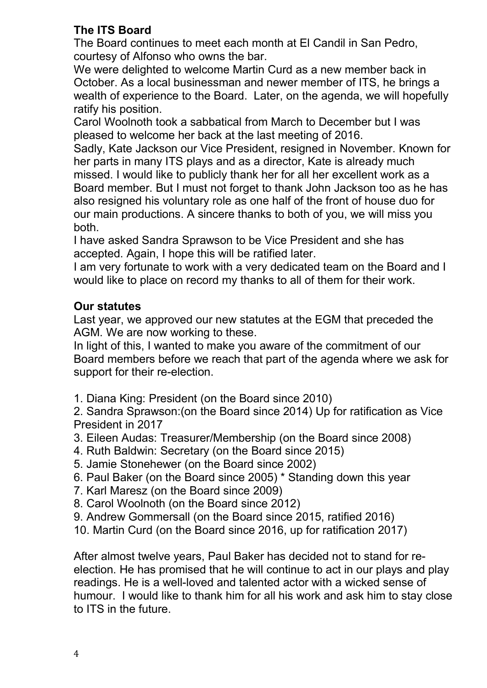# **The ITS Board**

The Board continues to meet each month at El Candil in San Pedro, courtesy of Alfonso who owns the bar.

We were delighted to welcome Martin Curd as a new member back in October. As a local businessman and newer member of ITS, he brings a wealth of experience to the Board. Later, on the agenda, we will hopefully ratify his position.

Carol Woolnoth took a sabbatical from March to December but I was pleased to welcome her back at the last meeting of 2016.

Sadly, Kate Jackson our Vice President, resigned in November. Known for her parts in many ITS plays and as a director, Kate is already much missed. I would like to publicly thank her for all her excellent work as a Board member. But I must not forget to thank John Jackson too as he has also resigned his voluntary role as one half of the front of house duo for our main productions. A sincere thanks to both of you, we will miss you both.

I have asked Sandra Sprawson to be Vice President and she has accepted. Again, I hope this will be ratified later.

I am very fortunate to work with a very dedicated team on the Board and I would like to place on record my thanks to all of them for their work.

## **Our statutes**

Last year, we approved our new statutes at the EGM that preceded the AGM. We are now working to these.

In light of this, I wanted to make you aware of the commitment of our Board members before we reach that part of the agenda where we ask for support for their re-election.

1. Diana King: President (on the Board since 2010)

2. Sandra Sprawson:(on the Board since 2014) Up for ratification as Vice President in 2017

- 3. Eileen Audas: Treasurer/Membership (on the Board since 2008)
- 4. Ruth Baldwin: Secretary (on the Board since 2015)
- 5. Jamie Stonehewer (on the Board since 2002)
- 6. Paul Baker (on the Board since 2005) \* Standing down this year
- 7. Karl Maresz (on the Board since 2009)
- 8. Carol Woolnoth (on the Board since 2012)
- 9. Andrew Gommersall (on the Board since 2015, ratified 2016)
- 10. Martin Curd (on the Board since 2016, up for ratification 2017)

After almost twelve years, Paul Baker has decided not to stand for reelection. He has promised that he will continue to act in our plays and play readings. He is a well-loved and talented actor with a wicked sense of humour. I would like to thank him for all his work and ask him to stay close to ITS in the future.